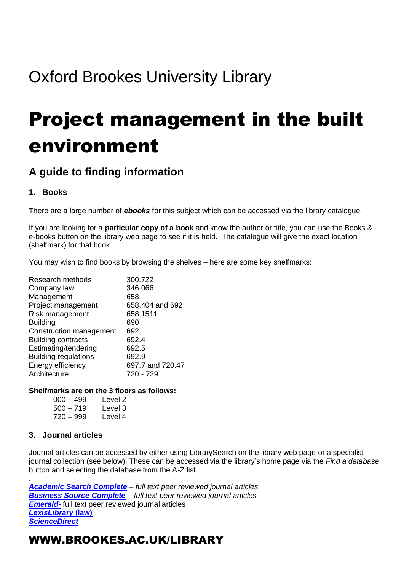## Oxford Brookes University Library

# Project management in the built environment

## **A guide to finding information**

#### **1. Books**

There are a large number of *ebooks* for this subject which can be accessed via the library catalogue.

If you are looking for a **particular copy of a book** and know the author or title, you can use the Books & e-books button on the library web page to see if it is held. The catalogue will give the exact location (shelfmark) for that book.

You may wish to find books by browsing the shelves – here are some key shelfmarks:

| Research methods            | 300.722          |
|-----------------------------|------------------|
| Company law                 | 346.066          |
| Management                  | 658              |
| Project management          | 658.404 and 692  |
| Risk management             | 658.1511         |
| <b>Building</b>             | 690              |
| Construction management     | 692              |
| <b>Building contracts</b>   | 692.4            |
| Estimating/tendering        | 692.5            |
| <b>Building regulations</b> | 692.9            |
| Energy efficiency           | 697.7 and 720.47 |
| Architecture                | 720 - 729        |

#### **Shelfmarks are on the 3 floors as follows:**

| $000 - 499$ | Level 2 |
|-------------|---------|
| 500 – 719   | Level 3 |
| 720 – 999   | Level 4 |

#### **3. Journal articles**

.

Journal articles can be accessed by either using LibrarySearch on the library web page or a specialist journal collection (see below). These can be accessed via the library's home page via the *Find a database* button and selecting the database from the A-Z list.

*[Academic Search Complete](http://opac.brookes.ac.uk/www-bin/ejnls?CN=S0017688OX) – full text peer reviewed journal articles [Business Source Complete](http://opac.brookes.ac.uk/www-bin/ejnls?CN=S0014834OX) – full text peer reviewed journal articles* **[Emerald](http://opac.brookes.ac.uk/www-bin/ejnls?CN=S0000078WA)**- full text peer reviewed journal articles *[LexisLibrary](http://opac.brookes.ac.uk/www-bin/ejnls?CN=S0015922OX)* **(law)** *[ScienceDirect](http://opac.brookes.ac.uk/www-bin/ejnls?CN=S0012939OX)*

### WWW.BROOKES.AC.UK/LIBRARY